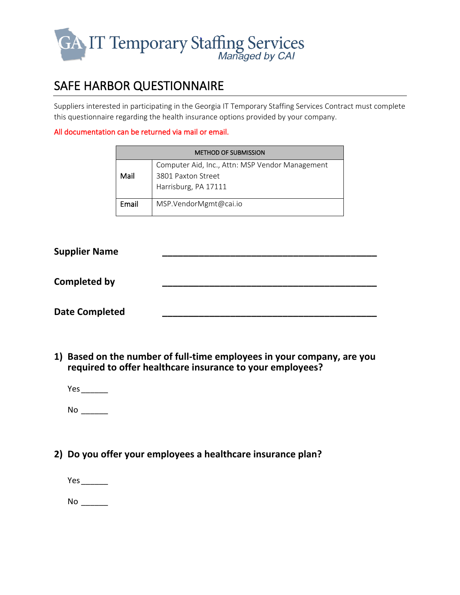

## SAFE HARBOR QUESTIONNAIRE

Suppliers interested in participating in the Georgia IT Temporary Staffing Services Contract must complete this questionnaire regarding the health insurance options provided by your company.

## All documentation can be returned via mail or email.

| <b>METHOD OF SUBMISSION</b> |                                                                                               |  |
|-----------------------------|-----------------------------------------------------------------------------------------------|--|
| Mail                        | Computer Aid, Inc., Attn: MSP Vendor Management<br>3801 Paxton Street<br>Harrisburg, PA 17111 |  |
| Email                       | MSP.VendorMgmt@cai.io                                                                         |  |

| <b>Supplier Name</b>  |  |
|-----------------------|--|
| <b>Completed by</b>   |  |
| <b>Date Completed</b> |  |

- **1) Based on the number of full-time employees in your company, are you required to offer healthcare insurance to your employees?**
	- Yes\_\_\_\_\_\_

No \_\_\_\_\_\_

**2) Do you offer your employees a healthcare insurance plan?**

Yes\_\_\_\_\_\_ No \_\_\_\_\_\_